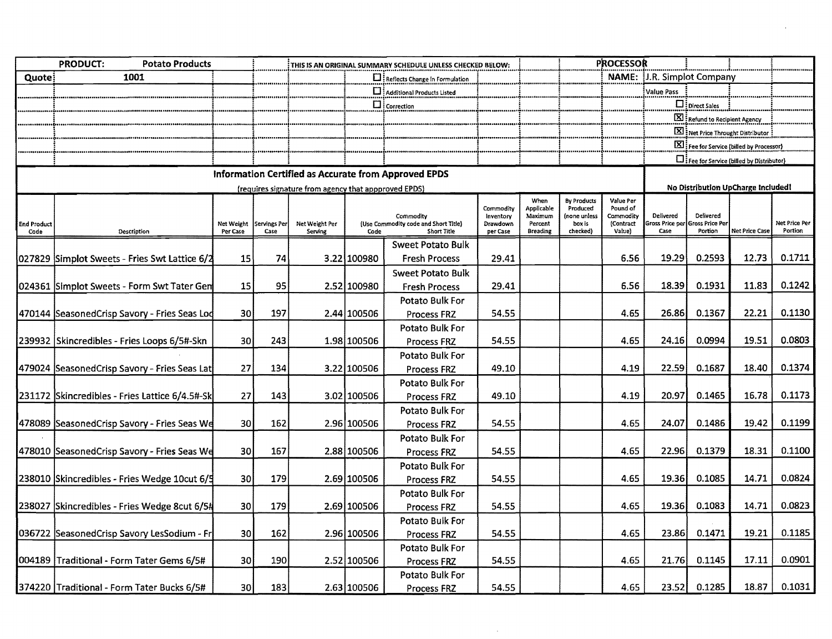|                            | <b>PRODUCT:</b><br><b>Potato Products</b>      | THIS IS AN ORIGINAL SUMMARY SCHEDULE UNLESS CHECKED BELOW: |                             |                                                      |             |                                                                         |                                                |                                                                    | <b>PROCESSOR</b>                                                     |                                                                  |                                                    |                                        |                                           |                          |  |
|----------------------------|------------------------------------------------|------------------------------------------------------------|-----------------------------|------------------------------------------------------|-------------|-------------------------------------------------------------------------|------------------------------------------------|--------------------------------------------------------------------|----------------------------------------------------------------------|------------------------------------------------------------------|----------------------------------------------------|----------------------------------------|-------------------------------------------|--------------------------|--|
| Quote:                     | 1001                                           |                                                            |                             |                                                      |             | $\square$ : Reflects Change in Formulation                              |                                                |                                                                    |                                                                      |                                                                  | <b>NAME: U.R. Simplot Company</b>                  |                                        |                                           |                          |  |
|                            |                                                |                                                            |                             |                                                      |             | Additional Products Listed                                              |                                                |                                                                    |                                                                      |                                                                  | Value Pass                                         |                                        |                                           |                          |  |
|                            |                                                |                                                            |                             |                                                      |             | $\Box$ Correction                                                       |                                                |                                                                    |                                                                      |                                                                  |                                                    | Di Direct Sales                        |                                           |                          |  |
|                            |                                                |                                                            |                             |                                                      |             |                                                                         |                                                |                                                                    |                                                                      |                                                                  |                                                    | Refund to Recipient Agency             |                                           |                          |  |
|                            |                                                |                                                            |                             |                                                      |             |                                                                         |                                                |                                                                    |                                                                      |                                                                  |                                                    | Net Price Throught Distributor         |                                           |                          |  |
|                            |                                                |                                                            |                             |                                                      |             |                                                                         |                                                |                                                                    |                                                                      |                                                                  |                                                    |                                        | [X] Fee for Service (billed by Processor) |                          |  |
|                            |                                                |                                                            |                             |                                                      |             |                                                                         |                                                |                                                                    |                                                                      |                                                                  | <b>D</b> : Fee for Service (billed by Distributor) |                                        |                                           |                          |  |
|                            |                                                |                                                            |                             |                                                      |             | Information Certified as Accurate from Approved EPDS                    |                                                |                                                                    |                                                                      |                                                                  |                                                    |                                        |                                           |                          |  |
|                            |                                                |                                                            |                             | (requires signature from agency that appproved EPDS) |             |                                                                         |                                                |                                                                    |                                                                      |                                                                  |                                                    |                                        | No Distribution UpCharge Included!        |                          |  |
| <b>End Product</b><br>Code | Description                                    | Net Weight<br>Per Case                                     | <b>Servings Per</b><br>Case | Net Weight Per<br>Serving                            | Code        | Commodity<br>(Use Commodity code and Short Title)<br><b>Short Title</b> | Commodity<br>Inventory<br>Drawdown<br>per Case | When<br><b>Applicable</b><br>Maximum<br>Percent<br><b>Breading</b> | <b>By Products</b><br>Produced<br>(none unless<br>box is<br>checked) | Value Per<br>Pound of<br>Commodity<br>(Contract<br><b>Value)</b> | <b>Delivered</b><br>Sross Price per<br>Case        | Delivered<br>ross Price Per<br>Portion | <b>Net Price Case</b>                     | Net Price Per<br>Portion |  |
|                            |                                                |                                                            |                             |                                                      |             | Sweet Potato Bulk                                                       |                                                |                                                                    |                                                                      |                                                                  |                                                    |                                        |                                           |                          |  |
|                            | 027829 Simplot Sweets - Fries Swt Lattice 6/2  | 15                                                         | 74                          |                                                      | 3.22 100980 | <b>Fresh Process</b>                                                    | 29.41                                          |                                                                    |                                                                      | 6.56                                                             | 19.29                                              | 0.2593                                 | 12.73                                     | 0.1711                   |  |
|                            |                                                |                                                            |                             |                                                      |             | <b>Sweet Potato Bulk</b>                                                |                                                |                                                                    |                                                                      |                                                                  |                                                    |                                        |                                           |                          |  |
|                            | 024361 Simplot Sweets - Form Swt Tater Gen     | 15                                                         | 95                          |                                                      | 2.52 100980 | <b>Fresh Process</b>                                                    | 29.41                                          |                                                                    |                                                                      | 6.56                                                             | 18.39                                              | 0.1931                                 | 11.83                                     | 0.1242                   |  |
|                            |                                                |                                                            |                             |                                                      |             | Potato Bulk For                                                         |                                                |                                                                    |                                                                      |                                                                  |                                                    |                                        |                                           |                          |  |
|                            | 470144 SeasonedCrisp Savory - Fries Seas Lod   | 30 <sup>1</sup>                                            | 197                         |                                                      | 2.44 100506 | Process FRZ                                                             | 54.55                                          |                                                                    |                                                                      | 4.65                                                             | 26.86                                              | 0.1367                                 | 22.21                                     | 0.1130                   |  |
|                            |                                                |                                                            |                             |                                                      |             | Potato Bulk For                                                         |                                                |                                                                    |                                                                      |                                                                  |                                                    |                                        |                                           |                          |  |
|                            | 239932 Skincredibles - Fries Loops 6/5#-Skn    | 30                                                         | 243                         |                                                      | 1.98 100506 | Process FRZ                                                             | 54.55                                          |                                                                    |                                                                      | 4.65                                                             | 24.16                                              | 0.0994                                 | 19.51                                     | 0.0803                   |  |
|                            |                                                |                                                            |                             |                                                      |             | Potato Bulk For                                                         |                                                |                                                                    |                                                                      |                                                                  |                                                    |                                        |                                           |                          |  |
|                            | 479024 SeasonedCrisp Savory - Fries Seas Lat   | 27                                                         | 134                         |                                                      | 3.22 100506 | Process FRZ                                                             | 49.10                                          |                                                                    |                                                                      | 4.19                                                             | 22.59                                              | 0.1687                                 | 18.40                                     | 0.1374                   |  |
|                            |                                                |                                                            |                             |                                                      |             | Potato Bulk For                                                         |                                                |                                                                    |                                                                      |                                                                  |                                                    |                                        |                                           |                          |  |
|                            | 231172 Skincredibles - Fries Lattice 6/4.5#-Sk | 27                                                         | 143                         |                                                      | 3.02 100506 | Process FRZ                                                             | 49.10                                          |                                                                    |                                                                      | 4.19                                                             | 20.97                                              | 0.1465                                 | 16.78                                     | 0.1173                   |  |
|                            |                                                |                                                            |                             |                                                      |             | Potato Bulk For                                                         |                                                |                                                                    |                                                                      |                                                                  |                                                    |                                        |                                           |                          |  |
|                            | 478089 SeasonedCrisp Savory - Fries Seas We    | 30 <sub>1</sub>                                            | 162                         |                                                      | 2.96 100506 | <b>Process FRZ</b>                                                      | 54.55                                          |                                                                    |                                                                      | 4.65                                                             | 24.07                                              | 0.1486                                 | 19,42                                     | 0.1199                   |  |
|                            |                                                |                                                            |                             |                                                      |             | Potato Bulk For                                                         |                                                |                                                                    |                                                                      |                                                                  |                                                    |                                        |                                           |                          |  |
|                            | 478010 SeasonedCrisp Savory - Fries Seas We    | 30                                                         | 167                         |                                                      | 2.88 100506 | <b>Process FRZ</b>                                                      | 54.55                                          |                                                                    |                                                                      | 4.65                                                             | 22.96                                              | 0.1379                                 | 18.31                                     | 0.1100                   |  |
|                            |                                                |                                                            |                             |                                                      |             | Potato Bulk For                                                         |                                                |                                                                    |                                                                      |                                                                  |                                                    |                                        |                                           |                          |  |
|                            | 238010 Skincredibles - Fries Wedge 10cut 6/5   | 30 <sup>1</sup>                                            | 179                         |                                                      | 2.69 100506 | Process FRZ                                                             | 54.55                                          |                                                                    |                                                                      | 4.65                                                             | 19.36                                              | 0.1085                                 | 14.71                                     | 0.0824                   |  |
|                            |                                                |                                                            |                             |                                                      |             | Potato Bulk For                                                         |                                                |                                                                    |                                                                      |                                                                  |                                                    |                                        |                                           |                          |  |
|                            | 238027 Skincredibles - Fries Wedge 8cut 6/5#   | 30 <sub>1</sub>                                            | 179                         |                                                      | 2.69 100506 | Process FRZ                                                             | 54.55                                          |                                                                    |                                                                      | 4.65                                                             | 19.36                                              | 0.1083                                 | 14.71                                     | 0.0823                   |  |
|                            |                                                |                                                            |                             |                                                      |             | <b>Potato Bulk For</b>                                                  |                                                |                                                                    |                                                                      |                                                                  |                                                    |                                        |                                           |                          |  |
|                            | 036722 SeasonedCrisp Savory LesSodium - Fr     | 30 l                                                       | 162                         |                                                      | 2.96 100506 | Process FRZ                                                             | 54.55                                          |                                                                    |                                                                      | 4.65                                                             | 23.86                                              | 0.1471                                 | 19.21                                     | 0.1185                   |  |
|                            |                                                |                                                            |                             |                                                      |             | Potato Bulk For                                                         |                                                |                                                                    |                                                                      |                                                                  |                                                    |                                        |                                           |                          |  |
|                            | 004189 Traditional - Form Tater Gems 6/5#      | 30                                                         | 190                         |                                                      | 2.52 100506 | <b>Process FRZ</b>                                                      | 54.55                                          |                                                                    |                                                                      | 4.65                                                             | 21.76                                              | 0.1145                                 | 17.11                                     | 0.0901                   |  |
|                            |                                                |                                                            |                             |                                                      |             | Potato Bulk For                                                         |                                                |                                                                    |                                                                      |                                                                  |                                                    |                                        |                                           |                          |  |
|                            | 374220 Traditional - Form Tater Bucks 6/5#     | 30                                                         | 183                         |                                                      | 2.63 100506 | Process FRZ                                                             | 54.55                                          |                                                                    |                                                                      | 4.65                                                             | 23.52                                              | 0.1285                                 | 18.87                                     | 0.1031                   |  |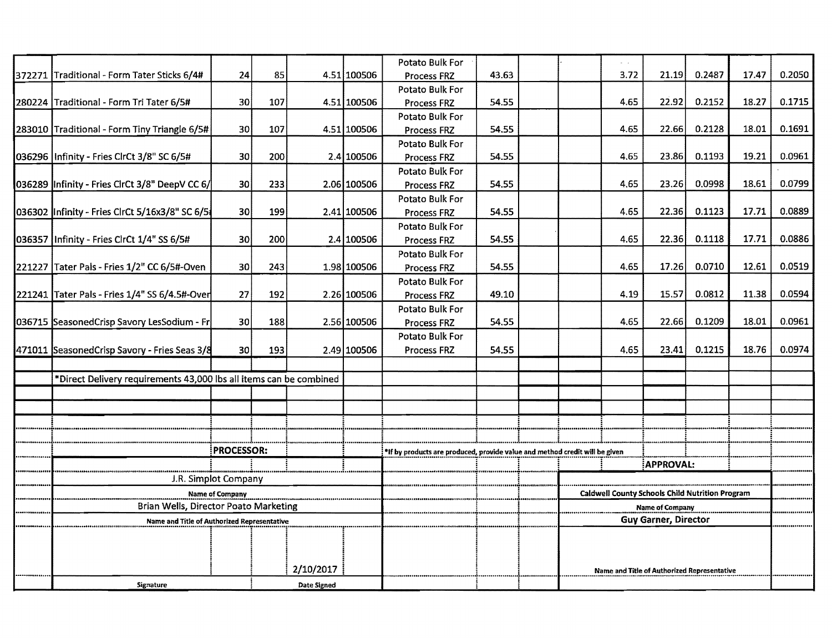|                                                                    |                                                                             |     |                    |             | Potato Bulk For                                       |                                                        |  |                  |      |        |        |       |        |
|--------------------------------------------------------------------|-----------------------------------------------------------------------------|-----|--------------------|-------------|-------------------------------------------------------|--------------------------------------------------------|--|------------------|------|--------|--------|-------|--------|
| 372271 Traditional - Form Tater Sticks 6/4#                        | 24                                                                          | 85  |                    | 4.51 100506 | Process FRZ                                           | 43.63                                                  |  |                  | 3.72 | 21.19  | 0.2487 | 17.47 | 0.2050 |
|                                                                    |                                                                             |     |                    |             | Potato Bulk For                                       |                                                        |  |                  |      |        |        |       |        |
| 280224 Traditional - Form Tri Tater 6/5#                           | 30                                                                          | 107 |                    | 4.51 100506 | Process FRZ                                           | 54.55                                                  |  |                  | 4.65 | 22.92  | 0.2152 | 18.27 | 0.1715 |
| 283010 Traditional - Form Tiny Triangle 6/5#                       | 30                                                                          | 107 |                    | 4.51 100506 | Potato Bulk For<br>Process FRZ                        | 54.55                                                  |  |                  | 4.65 | 22.66  | 0.2128 | 18.01 | 0.1691 |
|                                                                    |                                                                             |     |                    |             | Potato Bulk For                                       |                                                        |  |                  |      |        |        |       |        |
| 036296   Infinity - Fries ClrCt 3/8" SC 6/5#                       | 30                                                                          | 200 |                    | 2.4 100506  | Process FRZ                                           | 54.55                                                  |  |                  | 4.65 | 23.86I | 0.1193 | 19.21 | 0.0961 |
|                                                                    |                                                                             |     |                    |             | Potato Bulk For                                       |                                                        |  |                  |      |        |        |       |        |
| 036289 Infinity - Fries CirCt 3/8" DeepV CC 6/                     | 30                                                                          | 233 |                    | 2.06 100506 | <b>Process FRZ</b>                                    | 54.55                                                  |  |                  | 4,65 | 23.26  | 0.0998 | 18.61 | 0.0799 |
|                                                                    |                                                                             |     |                    |             | Potato Bulk For                                       |                                                        |  |                  |      |        |        |       |        |
| 036302 Infinity - Fries ClrCt 5/16x3/8" SC 6/51                    | 30 <sub>0</sub>                                                             | 199 |                    | 2.41 100506 | <b>Process FRZ</b>                                    | 54.55                                                  |  |                  | 4.65 | 22.36  | 0.1123 | 17.71 | 0.0889 |
|                                                                    |                                                                             |     |                    |             | Potato Bulk For                                       |                                                        |  |                  |      |        |        |       |        |
| 036357   Infinity - Fries ClrCt 1/4" SS 6/5#                       | 30                                                                          | 200 |                    | 2.4 100506  | Process FRZ                                           | 54.55                                                  |  |                  | 4.65 | 22.36  | 0.1118 | 17.71 | 0.0886 |
|                                                                    |                                                                             |     |                    |             | Potato Bulk For                                       | 54.55                                                  |  |                  | 4.65 | 17.26  | 0.0710 | 12,61 | 0.0519 |
| 221227 Tater Pals - Fries 1/2" CC 6/5#-Oven                        | 30                                                                          | 243 |                    | 1.98 100506 | Process FRZ<br>Potato Bulk For                        |                                                        |  |                  |      |        |        |       |        |
| 221241 Tater Pals - Fries 1/4" SS 6/4.5#-Over                      | 27                                                                          | 192 |                    | 2.26 100506 | <b>Process FRZ</b>                                    | 49.10                                                  |  |                  | 4.19 | 15.57  | 0.0812 | 11.38 | 0.0594 |
|                                                                    |                                                                             |     |                    |             | Potato Bulk For                                       |                                                        |  |                  |      |        |        |       |        |
| 036715 SeasonedCrisp Savory LesSodium - Fr                         | 30                                                                          | 188 |                    | 2.56 100506 | Process FRZ                                           | 54.55                                                  |  |                  | 4.65 | 22.66  | 0.1209 | 18.01 | 0.0961 |
|                                                                    |                                                                             |     |                    |             | Potato Bulk For                                       |                                                        |  |                  |      |        |        |       |        |
| 471011 SeasonedCrisp Savory - Fries Seas 3/8                       | 30                                                                          | 193 |                    | 2.49 100506 | Process FRZ                                           | 54.55                                                  |  |                  | 4.65 | 23.41  | 0.1215 | 18.76 | 0.0974 |
|                                                                    |                                                                             |     |                    |             |                                                       |                                                        |  |                  |      |        |        |       |        |
| *Direct Delivery requirements 43,000 lbs all items can be combined |                                                                             |     |                    |             |                                                       |                                                        |  |                  |      |        |        |       |        |
|                                                                    |                                                                             |     |                    |             |                                                       |                                                        |  |                  |      |        |        |       |        |
|                                                                    |                                                                             |     |                    |             |                                                       |                                                        |  |                  |      |        |        |       |        |
|                                                                    |                                                                             |     |                    |             |                                                       |                                                        |  |                  |      |        |        |       |        |
|                                                                    | <b>PROCESSOR:</b>                                                           |     |                    |             |                                                       |                                                        |  |                  |      |        |        |       |        |
|                                                                    | *If by products are produced, provide value and method credit will be given |     |                    |             |                                                       |                                                        |  |                  |      |        |        |       |        |
|                                                                    |                                                                             |     |                    |             |                                                       |                                                        |  | <b>APPROVAL:</b> |      |        |        |       |        |
| J.R. Simplot Company                                               |                                                                             |     |                    |             |                                                       |                                                        |  |                  |      |        |        |       |        |
| <b>Name of Company</b><br>Brian Wells, Director Poato Marketing    |                                                                             |     |                    |             |                                                       | <b>Caldwell County Schools Child Nutrition Program</b> |  |                  |      |        |        |       |        |
| Name and Title of Authorized Representative                        |                                                                             |     |                    |             | <b>Name of Company</b><br><b>Guy Garner, Director</b> |                                                        |  |                  |      |        |        |       |        |
|                                                                    |                                                                             |     |                    |             |                                                       |                                                        |  |                  |      |        |        |       |        |
|                                                                    |                                                                             |     |                    |             |                                                       |                                                        |  |                  |      |        |        |       |        |
|                                                                    |                                                                             |     | 2/10/2017          |             |                                                       |                                                        |  |                  |      |        |        |       |        |
|                                                                    |                                                                             |     |                    |             | Name and Title of Authorized Representative           |                                                        |  |                  |      |        |        |       |        |
| <b>Signature</b>                                                   |                                                                             |     | <b>Date Signed</b> |             |                                                       |                                                        |  |                  |      |        |        |       |        |